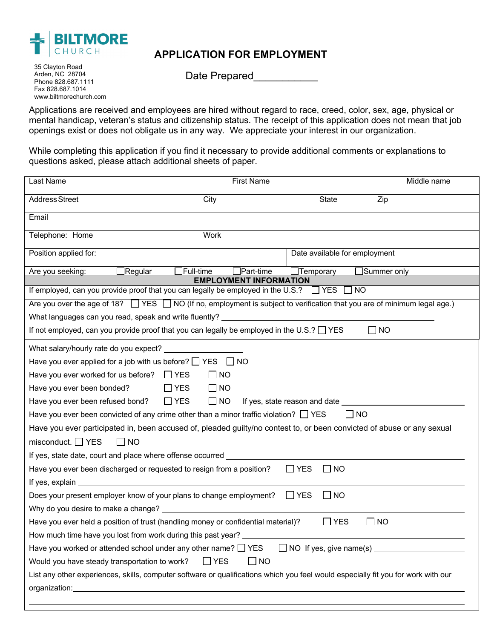

## **APPLICATION FOR EMPLOYMENT**

35 Clayton Road Arden, NC 28704 Phone 828.687.1111 Fax 828.687.1014 www.biltmorechurch.com

Date Prepared

Applications are received and employees are hired without regard to race, creed, color, sex, age, physical or mental handicap, veteran's status and citizenship status. The receipt of this application does not mean that job openings exist or does not obligate us in any way. We appreciate your interest in our organization.

While completing this application if you find it necessary to provide additional comments or explanations to questions asked, please attach additional sheets of paper.

| Last Name                                                                                                                                                                                                                            | <b>First Name</b>       | Middle name                   |             |  |  |  |  |
|--------------------------------------------------------------------------------------------------------------------------------------------------------------------------------------------------------------------------------------|-------------------------|-------------------------------|-------------|--|--|--|--|
| <b>Address Street</b>                                                                                                                                                                                                                | City                    | <b>State</b>                  | Zip         |  |  |  |  |
| Email                                                                                                                                                                                                                                |                         |                               |             |  |  |  |  |
| Telephone: Home                                                                                                                                                                                                                      | Work                    |                               |             |  |  |  |  |
| Position applied for:                                                                                                                                                                                                                |                         | Date available for employment |             |  |  |  |  |
| Are you seeking:<br>∏Regular                                                                                                                                                                                                         | Full-time<br>Part-time] | Temporary                     | Summer only |  |  |  |  |
| <b>EMPLOYMENT INFORMATION</b><br>If employed, can you provide proof that you can legally be employed in the U.S.?<br>$\Box$ YES $\Box$ NO                                                                                            |                         |                               |             |  |  |  |  |
| Are you over the age of 18? $\Box$ YES $\Box$ NO (If no, employment is subject to verification that you are of minimum legal age.)                                                                                                   |                         |                               |             |  |  |  |  |
|                                                                                                                                                                                                                                      |                         |                               |             |  |  |  |  |
| What languages can you read, speak and write fluently? _________________________<br>If not employed, can you provide proof that you can legally be employed in the U.S.? $\Box$ YES<br>$\mathsf{L}$                                  |                         |                               |             |  |  |  |  |
|                                                                                                                                                                                                                                      |                         |                               | <b>NO</b>   |  |  |  |  |
| What salary/hourly rate do you expect?                                                                                                                                                                                               |                         |                               |             |  |  |  |  |
| Have you ever applied for a job with us before? $\Box$ YES<br>I INO                                                                                                                                                                  |                         |                               |             |  |  |  |  |
| Have you ever worked for us before? $\Box$ YES                                                                                                                                                                                       | $\Box$ NO               |                               |             |  |  |  |  |
| Have you ever been bonded?                                                                                                                                                                                                           | $\Box$ NO<br>$\Box$ YES |                               |             |  |  |  |  |
| $\Box$ YES<br>$\Box$ NO<br>Have you ever been refused bond?<br>If yes, state reason and date                                                                                                                                         |                         |                               |             |  |  |  |  |
| Have you ever been convicted of any crime other than a minor traffic violation? $\Box$ YES<br>I INO                                                                                                                                  |                         |                               |             |  |  |  |  |
| Have you ever participated in, been accused of, pleaded guilty/no contest to, or been convicted of abuse or any sexual                                                                                                               |                         |                               |             |  |  |  |  |
| misconduct. $\Box$ YES<br>$\Box$ NO                                                                                                                                                                                                  |                         |                               |             |  |  |  |  |
| If yes, state date, court and place where offense occurred __________                                                                                                                                                                |                         |                               |             |  |  |  |  |
| Have you ever been discharged or requested to resign from a position?                                                                                                                                                                |                         | $\Box$ YES<br>$\Box$ No       |             |  |  |  |  |
| If yes, explain <u>example and the set of the set of the set of the set of the set of the set of the set of the set of the set of the set of the set of the set of the set of the set of the set of the set of the set of the se</u> |                         |                               |             |  |  |  |  |
| Does your present employer know of your plans to change employment?                                                                                                                                                                  |                         | $\Box$ YES<br><b>NO</b>       |             |  |  |  |  |
| Why do you desire to make a change? ________                                                                                                                                                                                         |                         |                               |             |  |  |  |  |
| Have you ever held a position of trust (handling money or confidential material)?                                                                                                                                                    |                         | $\Box$ YES                    | $\Box$ NO   |  |  |  |  |
| How much time have you lost from work during this past year?                                                                                                                                                                         |                         |                               |             |  |  |  |  |
| Have you worked or attended school under any other name? $\Box$ YES<br>□ NO If yes, give name(s) ________                                                                                                                            |                         |                               |             |  |  |  |  |
| $\Box$ YES<br>Would you have steady transportation to work?<br>$\Box$ NO                                                                                                                                                             |                         |                               |             |  |  |  |  |
| List any other experiences, skills, computer software or qualifications which you feel would especially fit you for work with our                                                                                                    |                         |                               |             |  |  |  |  |
|                                                                                                                                                                                                                                      |                         |                               |             |  |  |  |  |
|                                                                                                                                                                                                                                      |                         |                               |             |  |  |  |  |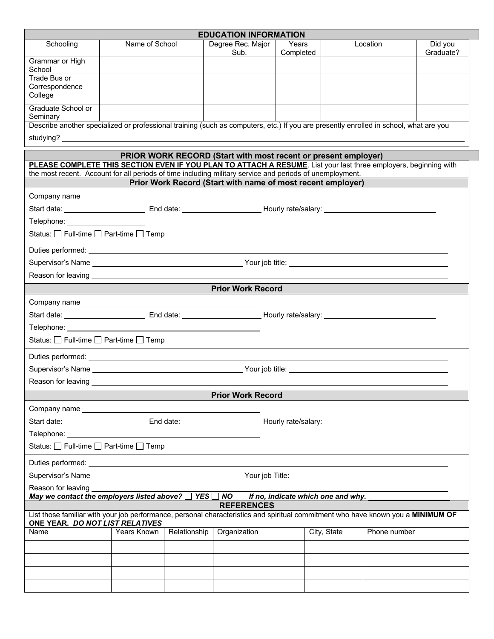|                                                                                                                                                                                                                                                                                                                                                               |                |              | <b>EDUCATION INFORMATION</b> |                    |             |              |                      |  |  |
|---------------------------------------------------------------------------------------------------------------------------------------------------------------------------------------------------------------------------------------------------------------------------------------------------------------------------------------------------------------|----------------|--------------|------------------------------|--------------------|-------------|--------------|----------------------|--|--|
| Schooling                                                                                                                                                                                                                                                                                                                                                     | Name of School |              | Degree Rec. Major<br>Sub.    | Years<br>Completed |             | Location     | Did you<br>Graduate? |  |  |
| Grammar or High<br>School                                                                                                                                                                                                                                                                                                                                     |                |              |                              |                    |             |              |                      |  |  |
| Trade Bus or<br>Correspondence                                                                                                                                                                                                                                                                                                                                |                |              |                              |                    |             |              |                      |  |  |
| College                                                                                                                                                                                                                                                                                                                                                       |                |              |                              |                    |             |              |                      |  |  |
| Graduate School or<br>Seminary                                                                                                                                                                                                                                                                                                                                |                |              |                              |                    |             |              |                      |  |  |
| Describe another specialized or professional training (such as computers, etc.) If you are presently enrolled in school, what are you                                                                                                                                                                                                                         |                |              |                              |                    |             |              |                      |  |  |
|                                                                                                                                                                                                                                                                                                                                                               |                |              |                              |                    |             |              |                      |  |  |
| PRIOR WORK RECORD (Start with most recent or present employer)<br>PLEASE COMPLETE THIS SECTION EVEN IF YOU PLAN TO ATTACH A RESUME. List your last three employers, beginning with<br>the most recent. Account for all periods of time including military service and periods of unemployment.<br>Prior Work Record (Start with name of most recent employer) |                |              |                              |                    |             |              |                      |  |  |
|                                                                                                                                                                                                                                                                                                                                                               |                |              |                              |                    |             |              |                      |  |  |
|                                                                                                                                                                                                                                                                                                                                                               |                |              |                              |                    |             |              |                      |  |  |
| Telephone: The contract of the contract of the contract of the contract of the contract of the contract of the                                                                                                                                                                                                                                                |                |              |                              |                    |             |              |                      |  |  |
| Status: □ Full-time □ Part-time □ Temp                                                                                                                                                                                                                                                                                                                        |                |              |                              |                    |             |              |                      |  |  |
| Duties performed: <u>example and the set of the set of the set of the set of the set of the set of the set of the set of the set of the set of the set of the set of the set of the set of the set of the set of the set of the </u>                                                                                                                          |                |              |                              |                    |             |              |                      |  |  |
|                                                                                                                                                                                                                                                                                                                                                               |                |              |                              |                    |             |              |                      |  |  |
|                                                                                                                                                                                                                                                                                                                                                               |                |              | <b>Prior Work Record</b>     |                    |             |              |                      |  |  |
|                                                                                                                                                                                                                                                                                                                                                               |                |              |                              |                    |             |              |                      |  |  |
|                                                                                                                                                                                                                                                                                                                                                               |                |              |                              |                    |             |              |                      |  |  |
| Telephone: <u>www.community.community.community.com</u>                                                                                                                                                                                                                                                                                                       |                |              |                              |                    |             |              |                      |  |  |
| Status: $\Box$ Full-time $\Box$ Part-time $\Box$ Temp                                                                                                                                                                                                                                                                                                         |                |              |                              |                    |             |              |                      |  |  |
|                                                                                                                                                                                                                                                                                                                                                               |                |              |                              |                    |             |              |                      |  |  |
|                                                                                                                                                                                                                                                                                                                                                               |                |              |                              |                    |             |              |                      |  |  |
|                                                                                                                                                                                                                                                                                                                                                               |                |              |                              |                    |             |              |                      |  |  |
|                                                                                                                                                                                                                                                                                                                                                               |                |              | <b>Prior Work Record</b>     |                    |             |              |                      |  |  |
|                                                                                                                                                                                                                                                                                                                                                               |                |              |                              |                    |             |              |                      |  |  |
|                                                                                                                                                                                                                                                                                                                                                               |                |              |                              |                    |             |              |                      |  |  |
| Status: □ Full-time □ Part-time □ Temp                                                                                                                                                                                                                                                                                                                        |                |              |                              |                    |             |              |                      |  |  |
|                                                                                                                                                                                                                                                                                                                                                               |                |              |                              |                    |             |              |                      |  |  |
|                                                                                                                                                                                                                                                                                                                                                               |                |              |                              |                    |             |              |                      |  |  |
| Reason for leaving                                                                                                                                                                                                                                                                                                                                            |                |              |                              |                    |             |              |                      |  |  |
| May we contact the employers listed above? $\Box$ YES $\Box$ NO If no, indicate which one and why.                                                                                                                                                                                                                                                            |                |              |                              |                    |             |              |                      |  |  |
| List those familiar with your job performance, personal characteristics and spiritual commitment who have known you a MINIMUM OF                                                                                                                                                                                                                              |                |              | <b>REFERENCES</b>            |                    |             |              |                      |  |  |
| ONE YEAR. DO NOT LIST RELATIVES<br>Name                                                                                                                                                                                                                                                                                                                       | Years Known    | Relationship | Organization                 |                    | City, State | Phone number |                      |  |  |
|                                                                                                                                                                                                                                                                                                                                                               |                |              |                              |                    |             |              |                      |  |  |
|                                                                                                                                                                                                                                                                                                                                                               |                |              |                              |                    |             |              |                      |  |  |
|                                                                                                                                                                                                                                                                                                                                                               |                |              |                              |                    |             |              |                      |  |  |
|                                                                                                                                                                                                                                                                                                                                                               |                |              |                              |                    |             |              |                      |  |  |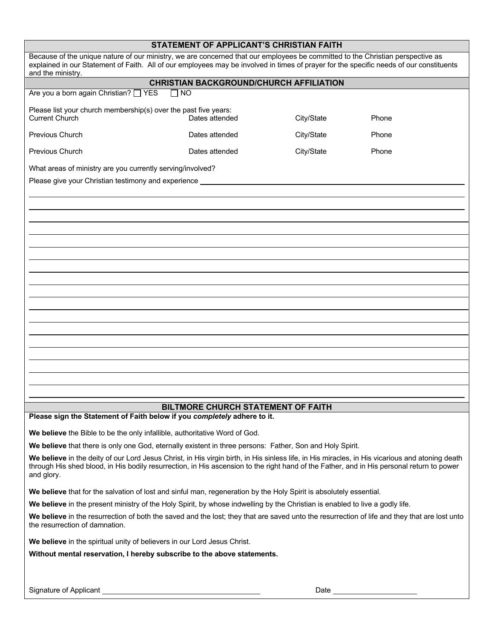|                                                                                                                                                                                                                                                                                                            | STATEMENT OF APPLICANT'S CHRISTIAN FAITH  |            |                                                                                                                                                                                                                                |  |  |  |  |  |
|------------------------------------------------------------------------------------------------------------------------------------------------------------------------------------------------------------------------------------------------------------------------------------------------------------|-------------------------------------------|------------|--------------------------------------------------------------------------------------------------------------------------------------------------------------------------------------------------------------------------------|--|--|--|--|--|
| Because of the unique nature of our ministry, we are concerned that our employees be committed to the Christian perspective as<br>explained in our Statement of Faith. All of our employees may be involved in times of prayer for the specific needs of our constituents<br>and the ministry.             |                                           |            |                                                                                                                                                                                                                                |  |  |  |  |  |
| <b>CHRISTIAN BACKGROUND/CHURCH AFFILIATION</b>                                                                                                                                                                                                                                                             |                                           |            |                                                                                                                                                                                                                                |  |  |  |  |  |
| Are you a born again Christian? IFS                                                                                                                                                                                                                                                                        | <b>NO</b>                                 |            |                                                                                                                                                                                                                                |  |  |  |  |  |
| Please list your church membership(s) over the past five years:<br><b>Current Church</b>                                                                                                                                                                                                                   | Dates attended                            | City/State | Phone                                                                                                                                                                                                                          |  |  |  |  |  |
| <b>Previous Church</b>                                                                                                                                                                                                                                                                                     | Dates attended                            | City/State | Phone                                                                                                                                                                                                                          |  |  |  |  |  |
| Previous Church                                                                                                                                                                                                                                                                                            | Dates attended                            | City/State | Phone                                                                                                                                                                                                                          |  |  |  |  |  |
| What areas of ministry are you currently serving/involved?                                                                                                                                                                                                                                                 |                                           |            |                                                                                                                                                                                                                                |  |  |  |  |  |
| Please give your Christian testimony and experience _____                                                                                                                                                                                                                                                  |                                           |            |                                                                                                                                                                                                                                |  |  |  |  |  |
|                                                                                                                                                                                                                                                                                                            |                                           |            |                                                                                                                                                                                                                                |  |  |  |  |  |
|                                                                                                                                                                                                                                                                                                            |                                           |            |                                                                                                                                                                                                                                |  |  |  |  |  |
|                                                                                                                                                                                                                                                                                                            |                                           |            |                                                                                                                                                                                                                                |  |  |  |  |  |
|                                                                                                                                                                                                                                                                                                            |                                           |            |                                                                                                                                                                                                                                |  |  |  |  |  |
|                                                                                                                                                                                                                                                                                                            |                                           |            |                                                                                                                                                                                                                                |  |  |  |  |  |
|                                                                                                                                                                                                                                                                                                            |                                           |            |                                                                                                                                                                                                                                |  |  |  |  |  |
|                                                                                                                                                                                                                                                                                                            |                                           |            |                                                                                                                                                                                                                                |  |  |  |  |  |
|                                                                                                                                                                                                                                                                                                            |                                           |            |                                                                                                                                                                                                                                |  |  |  |  |  |
|                                                                                                                                                                                                                                                                                                            |                                           |            |                                                                                                                                                                                                                                |  |  |  |  |  |
|                                                                                                                                                                                                                                                                                                            |                                           |            |                                                                                                                                                                                                                                |  |  |  |  |  |
|                                                                                                                                                                                                                                                                                                            |                                           |            |                                                                                                                                                                                                                                |  |  |  |  |  |
|                                                                                                                                                                                                                                                                                                            |                                           |            |                                                                                                                                                                                                                                |  |  |  |  |  |
|                                                                                                                                                                                                                                                                                                            |                                           |            |                                                                                                                                                                                                                                |  |  |  |  |  |
|                                                                                                                                                                                                                                                                                                            |                                           |            |                                                                                                                                                                                                                                |  |  |  |  |  |
|                                                                                                                                                                                                                                                                                                            |                                           |            |                                                                                                                                                                                                                                |  |  |  |  |  |
|                                                                                                                                                                                                                                                                                                            |                                           |            |                                                                                                                                                                                                                                |  |  |  |  |  |
|                                                                                                                                                                                                                                                                                                            |                                           |            |                                                                                                                                                                                                                                |  |  |  |  |  |
|                                                                                                                                                                                                                                                                                                            |                                           |            |                                                                                                                                                                                                                                |  |  |  |  |  |
|                                                                                                                                                                                                                                                                                                            | <b>BILTMORE CHURCH STATEMENT OF FAITH</b> |            |                                                                                                                                                                                                                                |  |  |  |  |  |
| Please sign the Statement of Faith below if you completely adhere to it.                                                                                                                                                                                                                                   |                                           |            |                                                                                                                                                                                                                                |  |  |  |  |  |
| We believe the Bible to be the only infallible, authoritative Word of God.                                                                                                                                                                                                                                 |                                           |            |                                                                                                                                                                                                                                |  |  |  |  |  |
| We believe that there is only one God, eternally existent in three persons: Father, Son and Holy Spirit.                                                                                                                                                                                                   |                                           |            |                                                                                                                                                                                                                                |  |  |  |  |  |
| We believe in the deity of our Lord Jesus Christ, in His virgin birth, in His sinless life, in His miracles, in His vicarious and atoning death<br>through His shed blood, in His bodily resurrection, in His ascension to the right hand of the Father, and in His personal return to power<br>and glory. |                                           |            |                                                                                                                                                                                                                                |  |  |  |  |  |
| We believe that for the salvation of lost and sinful man, regeneration by the Holy Spirit is absolutely essential.                                                                                                                                                                                         |                                           |            |                                                                                                                                                                                                                                |  |  |  |  |  |
| We believe in the present ministry of the Holy Spirit, by whose indwelling by the Christian is enabled to live a godly life.                                                                                                                                                                               |                                           |            |                                                                                                                                                                                                                                |  |  |  |  |  |
| We believe in the resurrection of both the saved and the lost; they that are saved unto the resurrection of life and they that are lost unto                                                                                                                                                               |                                           |            |                                                                                                                                                                                                                                |  |  |  |  |  |
| the resurrection of damnation.                                                                                                                                                                                                                                                                             |                                           |            |                                                                                                                                                                                                                                |  |  |  |  |  |
| We believe in the spiritual unity of believers in our Lord Jesus Christ.                                                                                                                                                                                                                                   |                                           |            |                                                                                                                                                                                                                                |  |  |  |  |  |
| Without mental reservation, I hereby subscribe to the above statements.                                                                                                                                                                                                                                    |                                           |            |                                                                                                                                                                                                                                |  |  |  |  |  |
|                                                                                                                                                                                                                                                                                                            |                                           |            |                                                                                                                                                                                                                                |  |  |  |  |  |
| Signature of Applicant<br>Signature of Applicant                                                                                                                                                                                                                                                           |                                           |            | Date and the contract of the contract of the contract of the contract of the contract of the contract of the contract of the contract of the contract of the contract of the contract of the contract of the contract of the c |  |  |  |  |  |
|                                                                                                                                                                                                                                                                                                            |                                           |            |                                                                                                                                                                                                                                |  |  |  |  |  |